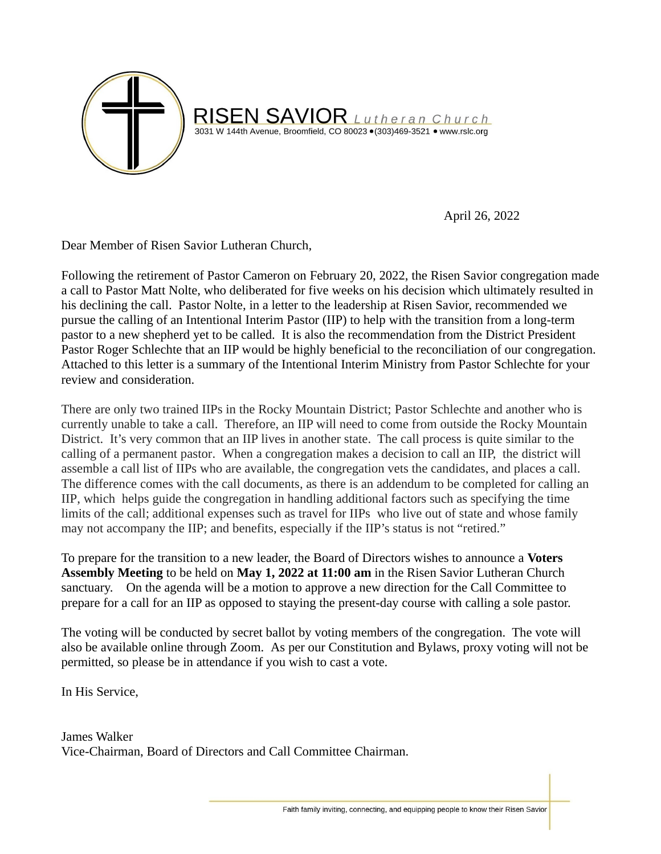

April 26, 2022

Dear Member of Risen Savior Lutheran Church,

Following the retirement of Pastor Cameron on February 20, 2022, the Risen Savior congregation made a call to Pastor Matt Nolte, who deliberated for five weeks on his decision which ultimately resulted in his declining the call. Pastor Nolte, in a letter to the leadership at Risen Savior, recommended we pursue the calling of an Intentional Interim Pastor (IIP) to help with the transition from a long-term pastor to a new shepherd yet to be called. It is also the recommendation from the District President Pastor Roger Schlechte that an IIP would be highly beneficial to the reconciliation of our congregation. Attached to this letter is a summary of the Intentional Interim Ministry from Pastor Schlechte for your review and consideration.

There are only two trained IIPs in the Rocky Mountain District; Pastor Schlechte and another who is currently unable to take a call. Therefore, an IIP will need to come from outside the Rocky Mountain District. It's very common that an IIP lives in another state. The call process is quite similar to the calling of a permanent pastor. When a congregation makes a decision to call an IIP, the district will assemble a call list of IIPs who are available, the congregation vets the candidates, and places a call. The difference comes with the call documents, as there is an addendum to be completed for calling an IIP, which helps guide the congregation in handling additional factors such as specifying the time limits of the call; additional expenses such as travel for IIPs who live out of state and whose family may not accompany the IIP; and benefits, especially if the IIP's status is not "retired."

To prepare for the transition to a new leader, the Board of Directors wishes to announce a **Voters Assembly Meeting** to be held on **May 1, 2022 at 11:00 am** in the Risen Savior Lutheran Church sanctuary. On the agenda will be a motion to approve a new direction for the Call Committee to prepare for a call for an IIP as opposed to staying the present-day course with calling a sole pastor.

The voting will be conducted by secret ballot by voting members of the congregation. The vote will also be available online through Zoom. As per our Constitution and Bylaws, proxy voting will not be permitted, so please be in attendance if you wish to cast a vote.

In His Service,

James Walker Vice-Chairman, Board of Directors and Call Committee Chairman.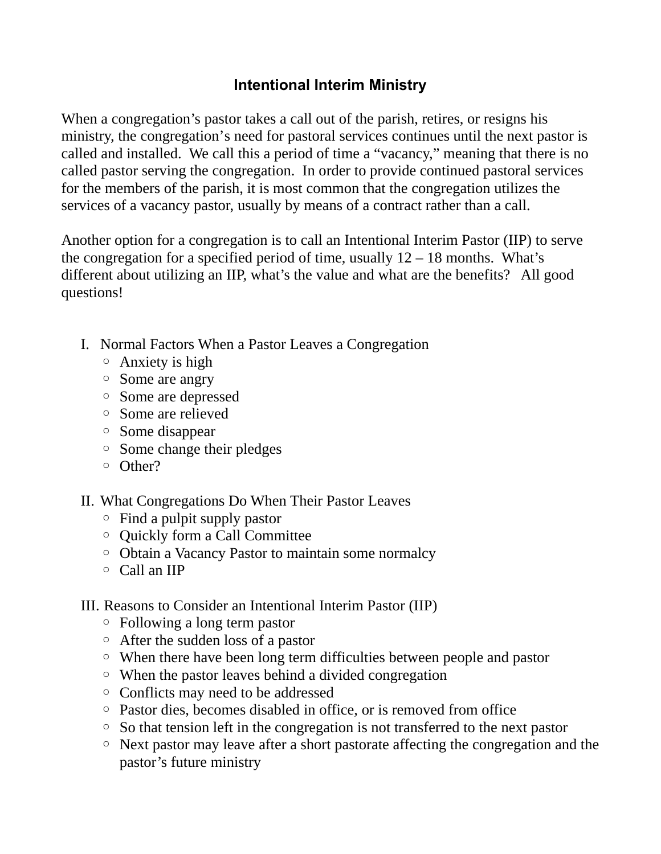## **Intentional Interim Ministry**

When a congregation's pastor takes a call out of the parish, retires, or resigns his ministry, the congregation's need for pastoral services continues until the next pastor is called and installed. We call this a period of time a "vacancy," meaning that there is no called pastor serving the congregation. In order to provide continued pastoral services for the members of the parish, it is most common that the congregation utilizes the services of a vacancy pastor, usually by means of a contract rather than a call.

Another option for a congregation is to call an Intentional Interim Pastor (IIP) to serve the congregation for a specified period of time, usually  $12 - 18$  months. What's different about utilizing an IIP, what's the value and what are the benefits? All good questions!

- I. Normal Factors When a Pastor Leaves a Congregation
	- Anxiety is high
	- Some are angry
	- Some are depressed
	- Some are relieved
	- Some disappear
	- Some change their pledges
	- Other?
- II. What Congregations Do When Their Pastor Leaves
	- Find a pulpit supply pastor
	- Quickly form a Call Committee
	- Obtain a Vacancy Pastor to maintain some normalcy
	- Call an IIP
- III. Reasons to Consider an Intentional Interim Pastor (IIP)
	- Following a long term pastor
	- After the sudden loss of a pastor
	- When there have been long term difficulties between people and pastor
	- When the pastor leaves behind a divided congregation
	- Conflicts may need to be addressed
	- Pastor dies, becomes disabled in office, or is removed from office
	- So that tension left in the congregation is not transferred to the next pastor
	- Next pastor may leave after a short pastorate affecting the congregation and the pastor's future ministry